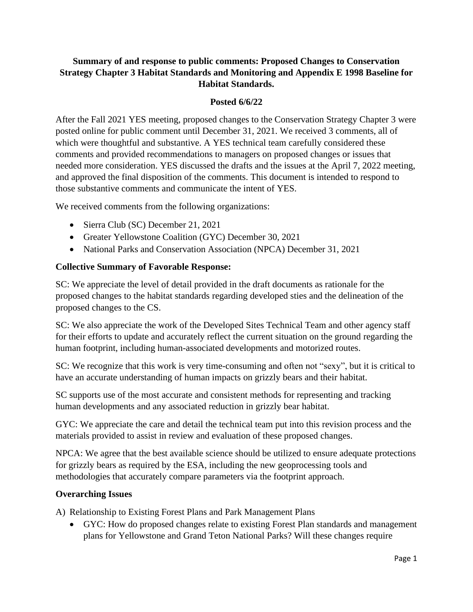# **Summary of and response to public comments: Proposed Changes to Conservation Strategy Chapter 3 Habitat Standards and Monitoring and Appendix E 1998 Baseline for Habitat Standards.**

### **Posted 6/6/22**

After the Fall 2021 YES meeting, proposed changes to the Conservation Strategy Chapter 3 were posted online for public comment until December 31, 2021. We received 3 comments, all of which were thoughtful and substantive. A YES technical team carefully considered these comments and provided recommendations to managers on proposed changes or issues that needed more consideration. YES discussed the drafts and the issues at the April 7, 2022 meeting, and approved the final disposition of the comments. This document is intended to respond to those substantive comments and communicate the intent of YES.

We received comments from the following organizations:

- Sierra Club (SC) December 21, 2021
- Greater Yellowstone Coalition (GYC) December 30, 2021
- National Parks and Conservation Association (NPCA) December 31, 2021

### **Collective Summary of Favorable Response:**

SC: We appreciate the level of detail provided in the draft documents as rationale for the proposed changes to the habitat standards regarding developed sties and the delineation of the proposed changes to the CS.

SC: We also appreciate the work of the Developed Sites Technical Team and other agency staff for their efforts to update and accurately reflect the current situation on the ground regarding the human footprint, including human-associated developments and motorized routes.

SC: We recognize that this work is very time-consuming and often not "sexy", but it is critical to have an accurate understanding of human impacts on grizzly bears and their habitat.

SC supports use of the most accurate and consistent methods for representing and tracking human developments and any associated reduction in grizzly bear habitat.

GYC: We appreciate the care and detail the technical team put into this revision process and the materials provided to assist in review and evaluation of these proposed changes.

NPCA: We agree that the best available science should be utilized to ensure adequate protections for grizzly bears as required by the ESA, including the new geoprocessing tools and methodologies that accurately compare parameters via the footprint approach.

#### **Overarching Issues**

A) Relationship to Existing Forest Plans and Park Management Plans

• GYC: How do proposed changes relate to existing Forest Plan standards and management plans for Yellowstone and Grand Teton National Parks? Will these changes require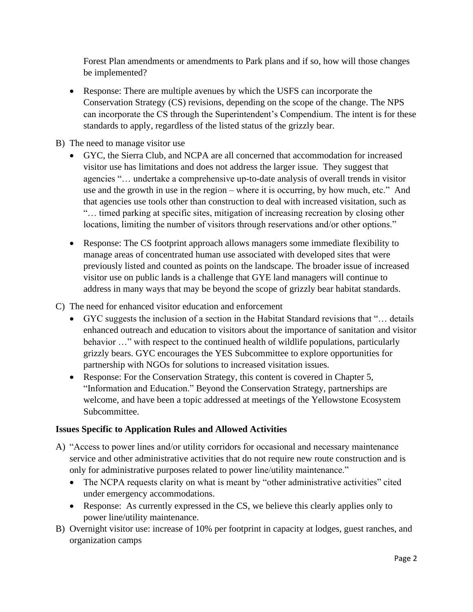Forest Plan amendments or amendments to Park plans and if so, how will those changes be implemented?

- Response: There are multiple avenues by which the USFS can incorporate the Conservation Strategy (CS) revisions, depending on the scope of the change. The NPS can incorporate the CS through the Superintendent's Compendium. The intent is for these standards to apply, regardless of the listed status of the grizzly bear.
- B) The need to manage visitor use
	- GYC, the Sierra Club, and NCPA are all concerned that accommodation for increased visitor use has limitations and does not address the larger issue. They suggest that agencies "… undertake a comprehensive up-to-date analysis of overall trends in visitor use and the growth in use in the region – where it is occurring, by how much, etc." And that agencies use tools other than construction to deal with increased visitation, such as "… timed parking at specific sites, mitigation of increasing recreation by closing other locations, limiting the number of visitors through reservations and/or other options."
	- Response: The CS footprint approach allows managers some immediate flexibility to manage areas of concentrated human use associated with developed sites that were previously listed and counted as points on the landscape. The broader issue of increased visitor use on public lands is a challenge that GYE land managers will continue to address in many ways that may be beyond the scope of grizzly bear habitat standards.
- C) The need for enhanced visitor education and enforcement
	- GYC suggests the inclusion of a section in the Habitat Standard revisions that "... details enhanced outreach and education to visitors about the importance of sanitation and visitor behavior …" with respect to the continued health of wildlife populations, particularly grizzly bears. GYC encourages the YES Subcommittee to explore opportunities for partnership with NGOs for solutions to increased visitation issues.
	- Response: For the Conservation Strategy, this content is covered in Chapter 5, "Information and Education." Beyond the Conservation Strategy, partnerships are welcome, and have been a topic addressed at meetings of the Yellowstone Ecosystem Subcommittee.

# **Issues Specific to Application Rules and Allowed Activities**

- A) "Access to power lines and/or utility corridors for occasional and necessary maintenance service and other administrative activities that do not require new route construction and is only for administrative purposes related to power line/utility maintenance."
	- The NCPA requests clarity on what is meant by "other administrative activities" cited under emergency accommodations.
	- Response: As currently expressed in the CS, we believe this clearly applies only to power line/utility maintenance.
- B) Overnight visitor use: increase of 10% per footprint in capacity at lodges, guest ranches, and organization camps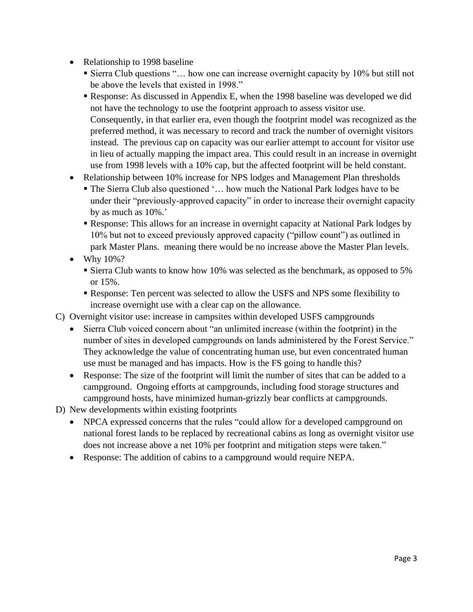- Relationship to 1998 baseline
	- Sierra Club questions "… how one can increase overnight capacity by 10% but still not be above the levels that existed in 1998."
	- Response: As discussed in Appendix E, when the 1998 baseline was developed we did not have the technology to use the footprint approach to assess visitor use. Consequently, in that earlier era, even though the footprint model was recognized as the preferred method, it was necessary to record and track the number of overnight visitors instead. The previous cap on capacity was our earlier attempt to account for visitor use in lieu of actually mapping the impact area. This could result in an increase in overnight use from 1998 levels with a 10% cap, but the affected footprint will be held constant.
- Relationship between 10% increase for NPS lodges and Management Plan thresholds
	- The Sierra Club also questioned '... how much the National Park lodges have to be under their "previously-approved capacity" in order to increase their overnight capacity by as much as 10%.'
	- Response: This allows for an increase in overnight capacity at National Park lodges by 10% but not to exceed previously approved capacity ("pillow count") as outlined in park Master Plans. meaning there would be no increase above the Master Plan levels.
- Why  $10\%$ ?
	- **Example 10 Sierra Club wants to know how 10% was selected as the benchmark, as opposed to 5%** or 15%.
	- Response: Ten percent was selected to allow the USFS and NPS some flexibility to increase overnight use with a clear cap on the allowance.
- C) Overnight visitor use: increase in campsites within developed USFS campgrounds
	- Sierra Club voiced concern about "an unlimited increase (within the footprint) in the number of sites in developed campgrounds on lands administered by the Forest Service." They acknowledge the value of concentrating human use, but even concentrated human use must be managed and has impacts. How is the FS going to handle this?
	- Response: The size of the footprint will limit the number of sites that can be added to a campground. Ongoing efforts at campgrounds, including food storage structures and campground hosts, have minimized human-grizzly bear conflicts at campgrounds.
- D) New developments within existing footprints
	- NPCA expressed concerns that the rules "could allow for a developed campground on national forest lands to be replaced by recreational cabins as long as overnight visitor use does not increase above a net 10% per footprint and mitigation steps were taken."
	- Response: The addition of cabins to a campground would require NEPA.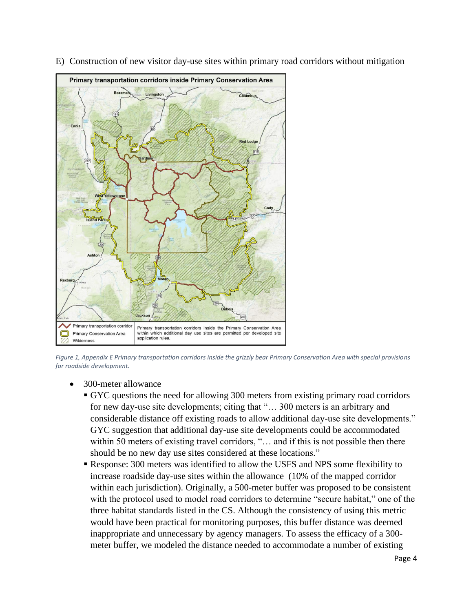

E) Construction of new visitor day-use sites within primary road corridors without mitigation

*Figure 1, Appendix E Primary transportation corridors inside the grizzly bear Primary Conservation Area with special provisions for roadside development.*

- 300-meter allowance
	- GYC questions the need for allowing 300 meters from existing primary road corridors for new day-use site developments; citing that "… 300 meters is an arbitrary and considerable distance off existing roads to allow additional day-use site developments." GYC suggestion that additional day-use site developments could be accommodated within 50 meters of existing travel corridors, "... and if this is not possible then there should be no new day use sites considered at these locations."
	- Response: 300 meters was identified to allow the USFS and NPS some flexibility to increase roadside day-use sites within the allowance (10% of the mapped corridor within each jurisdiction). Originally, a 500-meter buffer was proposed to be consistent with the protocol used to model road corridors to determine "secure habitat," one of the three habitat standards listed in the CS. Although the consistency of using this metric would have been practical for monitoring purposes, this buffer distance was deemed inappropriate and unnecessary by agency managers. To assess the efficacy of a 300 meter buffer, we modeled the distance needed to accommodate a number of existing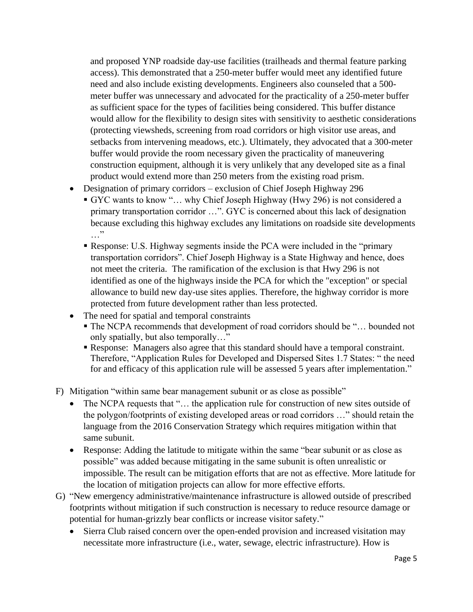and proposed YNP roadside day-use facilities (trailheads and thermal feature parking access). This demonstrated that a 250-meter buffer would meet any identified future need and also include existing developments. Engineers also counseled that a 500 meter buffer was unnecessary and advocated for the practicality of a 250-meter buffer as sufficient space for the types of facilities being considered. This buffer distance would allow for the flexibility to design sites with sensitivity to aesthetic considerations (protecting viewsheds, screening from road corridors or high visitor use areas, and setbacks from intervening meadows, etc.). Ultimately, they advocated that a 300-meter buffer would provide the room necessary given the practicality of maneuvering construction equipment, although it is very unlikely that any developed site as a final product would extend more than 250 meters from the existing road prism.

- Designation of primary corridors exclusion of Chief Joseph Highway 296
	- GYC wants to know "… why Chief Joseph Highway (Hwy 296) is not considered a primary transportation corridor …". GYC is concerned about this lack of designation because excluding this highway excludes any limitations on roadside site developments …"
	- **Response: U.S. Highway segments inside the PCA were included in the "primary**" transportation corridors". Chief Joseph Highway is a State Highway and hence, does not meet the criteria. The ramification of the exclusion is that Hwy 296 is not identified as one of the highways inside the PCA for which the "exception" or special allowance to build new day-use sites applies. Therefore, the highway corridor is more protected from future development rather than less protected.
- The need for spatial and temporal constraints
	- The NCPA recommends that development of road corridors should be "... bounded not only spatially, but also temporally…"
	- Response: Managers also agree that this standard should have a temporal constraint. Therefore, "Application Rules for Developed and Dispersed Sites 1.7 States: " the need for and efficacy of this application rule will be assessed 5 years after implementation."
- F) Mitigation "within same bear management subunit or as close as possible"
	- The NCPA requests that "... the application rule for construction of new sites outside of the polygon/footprints of existing developed areas or road corridors …" should retain the language from the 2016 Conservation Strategy which requires mitigation within that same subunit.
	- Response: Adding the latitude to mitigate within the same "bear subunit or as close as possible" was added because mitigating in the same subunit is often unrealistic or impossible. The result can be mitigation efforts that are not as effective. More latitude for the location of mitigation projects can allow for more effective efforts.
- G) "New emergency administrative/maintenance infrastructure is allowed outside of prescribed footprints without mitigation if such construction is necessary to reduce resource damage or potential for human-grizzly bear conflicts or increase visitor safety."
	- Sierra Club raised concern over the open-ended provision and increased visitation may necessitate more infrastructure (i.e., water, sewage, electric infrastructure). How is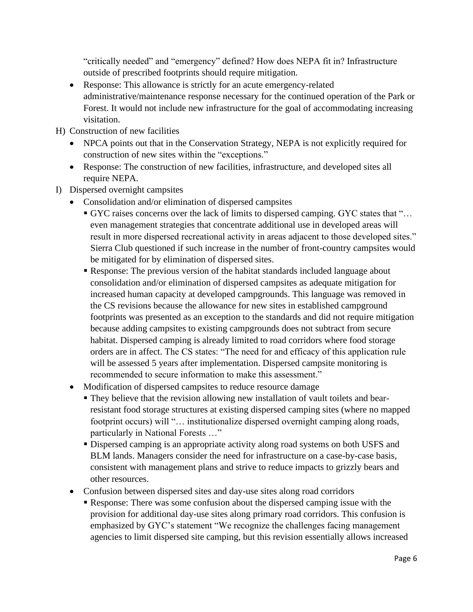"critically needed" and "emergency" defined? How does NEPA fit in? Infrastructure outside of prescribed footprints should require mitigation.

- Response: This allowance is strictly for an acute emergency-related administrative/maintenance response necessary for the continued operation of the Park or Forest. It would not include new infrastructure for the goal of accommodating increasing visitation.
- H) Construction of new facilities
	- NPCA points out that in the Conservation Strategy, NEPA is not explicitly required for construction of new sites within the "exceptions."
	- Response: The construction of new facilities, infrastructure, and developed sites all require NEPA.
- I) Dispersed overnight campsites
	- Consolidation and/or elimination of dispersed campsites
		- GYC raises concerns over the lack of limits to dispersed camping. GYC states that "… even management strategies that concentrate additional use in developed areas will result in more dispersed recreational activity in areas adjacent to those developed sites." Sierra Club questioned if such increase in the number of front-country campsites would be mitigated for by elimination of dispersed sites.
		- Response: The previous version of the habitat standards included language about consolidation and/or elimination of dispersed campsites as adequate mitigation for increased human capacity at developed campgrounds. This language was removed in the CS revisions because the allowance for new sites in established campground footprints was presented as an exception to the standards and did not require mitigation because adding campsites to existing campgrounds does not subtract from secure habitat. Dispersed camping is already limited to road corridors where food storage orders are in affect. The CS states: "The need for and efficacy of this application rule will be assessed 5 years after implementation. Dispersed campsite monitoring is recommended to secure information to make this assessment."
	- Modification of dispersed campsites to reduce resource damage
		- They believe that the revision allowing new installation of vault toilets and bearresistant food storage structures at existing dispersed camping sites (where no mapped footprint occurs) will "... institutionalize dispersed overnight camping along roads, particularly in National Forests …"
		- Dispersed camping is an appropriate activity along road systems on both USFS and BLM lands. Managers consider the need for infrastructure on a case-by-case basis, consistent with management plans and strive to reduce impacts to grizzly bears and other resources.
	- Confusion between dispersed sites and day-use sites along road corridors
		- **Response:** There was some confusion about the dispersed camping issue with the provision for additional day-use sites along primary road corridors. This confusion is emphasized by GYC's statement "We recognize the challenges facing management agencies to limit dispersed site camping, but this revision essentially allows increased